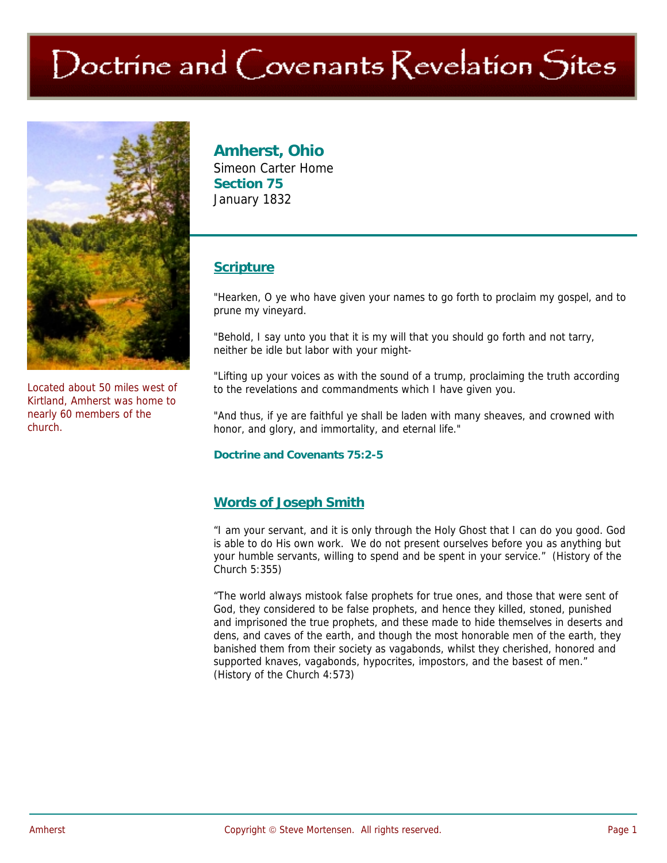# Doctrine and Covenants Revelation Sites



Located about 50 miles west of Kirtland, Amherst was home to nearly 60 members of the church.

## **Amherst, Ohio**

Simeon Carter Home **Section 75**  January 1832

## **Scripture**

"Hearken, O ye who have given your names to go forth to proclaim my gospel, and to prune my vineyard.

"Behold, I say unto you that it is my will that you should go forth and not tarry, neither be idle but labor with your might-

"Lifting up your voices as with the sound of a trump, proclaiming the truth according to the revelations and commandments which I have given you.

"And thus, if ye are faithful ye shall be laden with many sheaves, and crowned with honor, and glory, and immortality, and eternal life."

**Doctrine and Covenants 75:2-5** 

### **Words of Joseph Smith**

"I am your servant, and it is only through the Holy Ghost that I can do you good. God is able to do His own work. We do not present ourselves before you as anything but your humble servants, willing to spend and be spent in your service." (History of the Church 5:355)

"The world always mistook false prophets for true ones, and those that were sent of God, they considered to be false prophets, and hence they killed, stoned, punished and imprisoned the true prophets, and these made to hide themselves in deserts and dens, and caves of the earth, and though the most honorable men of the earth, they banished them from their society as vagabonds, whilst they cherished, honored and supported knaves, vagabonds, hypocrites, impostors, and the basest of men." (History of the Church 4:573)